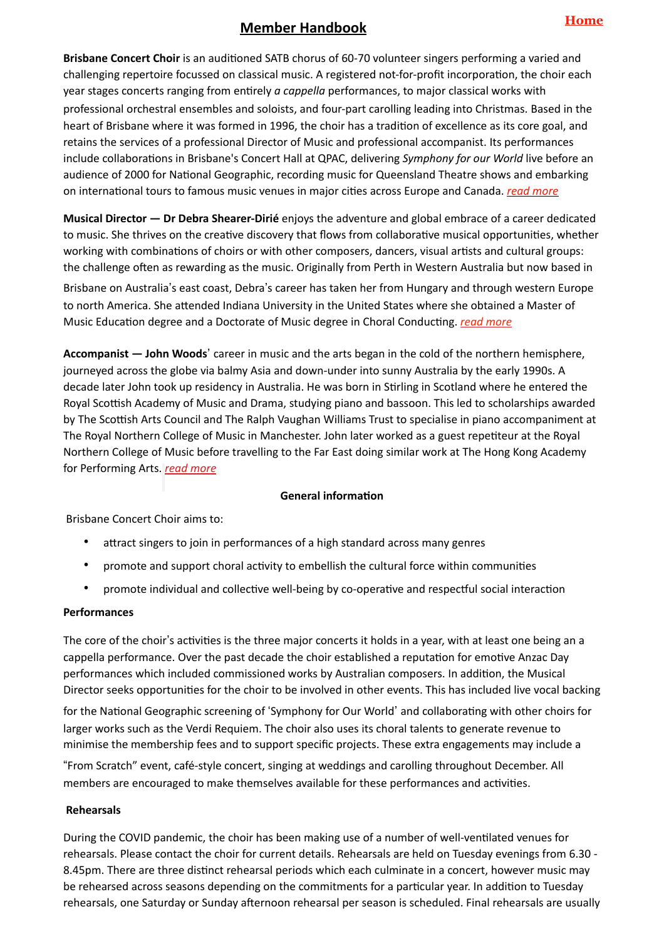# **Member Handbook**

**Brisbane Concert Choir** is an auditioned SATB chorus of 60-70 volunteer singers performing a varied and challenging repertoire focussed on classical music. A registered not-for-profit incorporation, the choir each year stages concerts ranging from entirely *a cappella* performances, to major classical works with professional orchestral ensembles and soloists, and four-part carolling leading into Christmas. Based in the heart of Brisbane where it was formed in 1996, the choir has a tradition of excellence as its core goal, and retains the services of a professional Director of Music and professional accompanist. Its performances include collaborations in Brisbane's Concert Hall at QPAC, delivering *Symphony for our World* live before an audience of 2000 for National Geographic, recording music for Queensland Theatre shows and embarking on international tours to famous music venues in major cities across Europe and Canada. *[read more](https://www.brisbaneconcertchoir.com/about_us)*

**Musical Director — Dr Debra Shearer-Dirié** enjoys the adventure and global embrace of a career dedicated to music. She thrives on the creative discovery that flows from collaborative musical opportunities, whether working with combinations of choirs or with other composers, dancers, visual artists and cultural groups: the challenge often as rewarding as the music. Originally from Perth in Western Australia but now based in

Brisbane on Australia's east coast, Debra's career has taken her from Hungary and through western Europe to north America. She attended Indiana University in the United States where she obtained a Master of Music Education degree and a Doctorate of Music degree in Choral Conducting. *[read more](https://www.brisbaneconcertchoir.com/dr-debra-shearer-diri%25C3%25A9-bio)*

**Accompanist — John Woods'** career in music and the arts began in the cold of the northern hemisphere, journeyed across the globe via balmy Asia and down-under into sunny Australia by the early 1990s. A decade later John took up residency in Australia. He was born in Stirling in Scotland where he entered the Royal Scottish Academy of Music and Drama, studying piano and bassoon. This led to scholarships awarded by The Scottish Arts Council and The Ralph Vaughan Williams Trust to specialise in piano accompaniment at The Royal Northern College of Music in Manchester. John later worked as a guest repetiteur at the Royal Northern College of Music before travelling to the Far East doing similar work at The Hong Kong Academy for Performing Arts. *[read more](https://www.brisbaneconcertchoir.com/john-woods)*

## **General information**

Brisbane Concert Choir aims to:

- attract singers to join in performances of a high standard across many genres
- promote and support choral activity to embellish the cultural force within communities
- promote individual and collective well-being by co-operative and respectful social interaction

## **Performances**

The core of the choir's activities is the three major concerts it holds in a year, with at least one being an a cappella performance. Over the past decade the choir established a reputation for emotive Anzac Day performances which included commissioned works by Australian composers. In addition, the Musical Director seeks opportunities for the choir to be involved in other events. This has included live vocal backing

for the National Geographic screening of 'Symphony for Our World' and collaborating with other choirs for larger works such as the Verdi Requiem. The choir also uses its choral talents to generate revenue to minimise the membership fees and to support specific projects. These extra engagements may include a

\$From Scratch" event, café-style concert, singing at weddings and carolling throughout December. All members are encouraged to make themselves available for these performances and activities.

## **Rehearsals**

During the COVID pandemic, the choir has been making use of a number of well-ventilated venues for rehearsals. Please contact the choir for current details. Rehearsals are held on Tuesday evenings from 6.30 - 8.45pm. There are three distinct rehearsal periods which each culminate in a concert, however music may be rehearsed across seasons depending on the commitments for a particular year. In addition to Tuesday rehearsals, one Saturday or Sunday afternoon rehearsal per season is scheduled. Final rehearsals are usually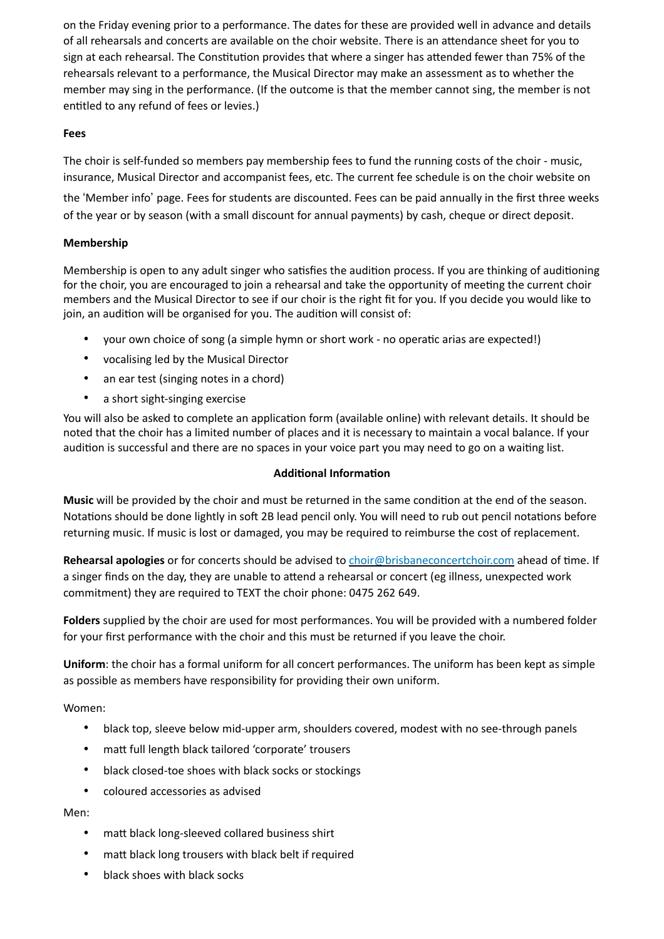on the Friday evening prior to a performance. The dates for these are provided well in advance and details of all rehearsals and concerts are available on the choir website. There is an attendance sheet for you to sign at each rehearsal. The Constitution provides that where a singer has attended fewer than 75% of the rehearsals relevant to a performance, the Musical Director may make an assessment as to whether the member may sing in the performance. (If the outcome is that the member cannot sing, the member is not entitled to any refund of fees or levies.)

# **Fees**

The choir is self-funded so members pay membership fees to fund the running costs of the choir - music, insurance, Musical Director and accompanist fees, etc. The current fee schedule is on the choir website on

the 'Member info' page. Fees for students are discounted. Fees can be paid annually in the first three weeks of the year or by season (with a small discount for annual payments) by cash, cheque or direct deposit.

# **Membership**

Membership is open to any adult singer who satisfies the audition process. If you are thinking of auditioning for the choir, you are encouraged to join a rehearsal and take the opportunity of meeting the current choir members and the Musical Director to see if our choir is the right fit for you. If you decide you would like to join, an audition will be organised for you. The audition will consist of:

- your own choice of song (a simple hymn or short work no operatic arias are expected!)
- vocalising led by the Musical Director
- an ear test (singing notes in a chord)
- a short sight-singing exercise

You will also be asked to complete an application form (available online) with relevant details. It should be noted that the choir has a limited number of places and it is necessary to maintain a vocal balance. If your audition is successful and there are no spaces in your voice part you may need to go on a waiting list.

## **Additional Information**

**Music** will be provided by the choir and must be returned in the same condition at the end of the season. Notations should be done lightly in soft 2B lead pencil only. You will need to rub out pencil notations before returning music. If music is lost or damaged, you may be required to reimburse the cost of replacement.

**Rehearsal apologies** or for concerts should be advised to [choir@brisbaneconcertchoir.com](mailto:choir@brisbaneconcertchoir.com) ahead of time. If a singer finds on the day, they are unable to attend a rehearsal or concert (eg illness, unexpected work commitment) they are required to TEXT the choir phone: 0475 262 649.

**Folders** supplied by the choir are used for most performances. You will be provided with a numbered folder for your first performance with the choir and this must be returned if you leave the choir.

**Uniform**: the choir has a formal uniform for all concert performances. The uniform has been kept as simple as possible as members have responsibility for providing their own uniform.

Women:

- black top, sleeve below mid-upper arm, shoulders covered, modest with no see-through panels
- matt full length black tailored 'corporate' trousers
- black closed-toe shoes with black socks or stockings
- coloured accessories as advised

Men:

- matt black long-sleeved collared business shirt
- matt black long trousers with black belt if required
- black shoes with black socks